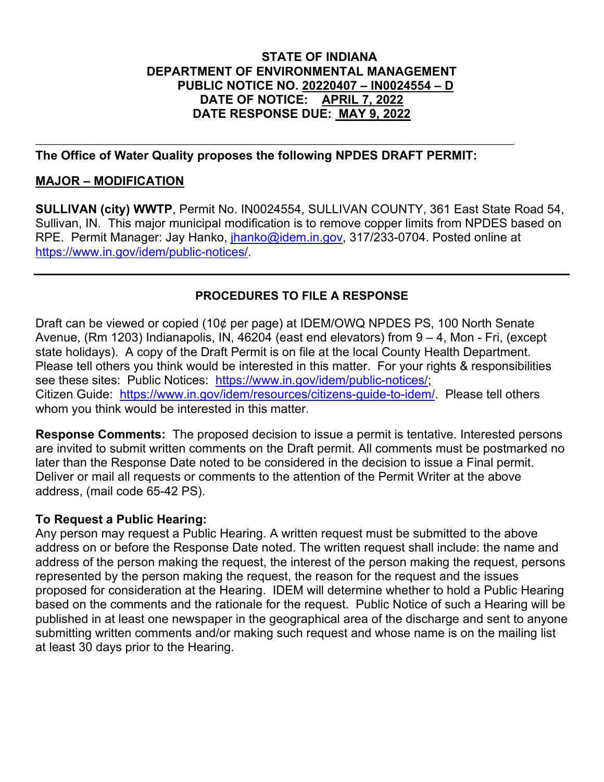## **STATE OF INDIANA DEPARTMENT OF ENVIRONMENTAL MANAGEMENT PUBLIC NOTICE NO. 20220407 – IN0024554 – D DATE OF NOTICE: APRIL 7, 2022 DATE RESPONSE DUE: MAY 9, 2022**

## **The Office of Water Quality proposes the following NPDES DRAFT PERMIT:**

,他们的人们就是一个人的人,他们的人们都是不是一个人的人,他们的人们都是不是一个人的人,他们的人们都是不是一个人的人,他们的人们都是不是一个人的人,他们的人们也

## **MAJOR – MODIFICATION**

**SULLIVAN (city) WWTP**, Permit No. IN0024554, SULLIVAN COUNTY, 361 East State Road 54, Sullivan, IN. This major municipal modification is to remove copper limits from NPDES based on RPE. Permit Manager: Jay Hanko, [jhanko@idem.in.gov,](mailto:jhanko@idem.in.gov) 317/233-0704. Posted online at [https://www.in.gov/idem/public-notices/.](https://www.in.gov/idem/public-notices/)

# **PROCEDURES TO FILE A RESPONSE**

Draft can be viewed or copied (10¢ per page) at IDEM/OWQ NPDES PS, 100 North Senate Avenue, (Rm 1203) Indianapolis, IN, 46204 (east end elevators) from 9 – 4, Mon - Fri, (except state holidays). A copy of the Draft Permit is on file at the local County Health Department. Please tell others you think would be interested in this matter. For your rights & responsibilities see these sites: Public Notices: [https://www.in.gov/idem/public-notices/;](https://www.in.gov/idem/public-notices/) Citizen Guide: [https://www.in.gov/idem/resources/citizens-guide-to-idem/.](https://www.in.gov/idem/resources/citizens-guide-to-idem/) Please tell others whom you think would be interested in this matter.

**Response Comments:** The proposed decision to issue a permit is tentative. Interested persons are invited to submit written comments on the Draft permit. All comments must be postmarked no later than the Response Date noted to be considered in the decision to issue a Final permit. Deliver or mail all requests or comments to the attention of the Permit Writer at the above address, (mail code 65-42 PS).

#### **To Request a Public Hearing:**

Any person may request a Public Hearing. A written request must be submitted to the above address on or before the Response Date noted. The written request shall include: the name and address of the person making the request, the interest of the person making the request, persons represented by the person making the request, the reason for the request and the issues proposed for consideration at the Hearing. IDEM will determine whether to hold a Public Hearing based on the comments and the rationale for the request. Public Notice of such a Hearing will be published in at least one newspaper in the geographical area of the discharge and sent to anyone submitting written comments and/or making such request and whose name is on the mailing list at least 30 days prior to the Hearing.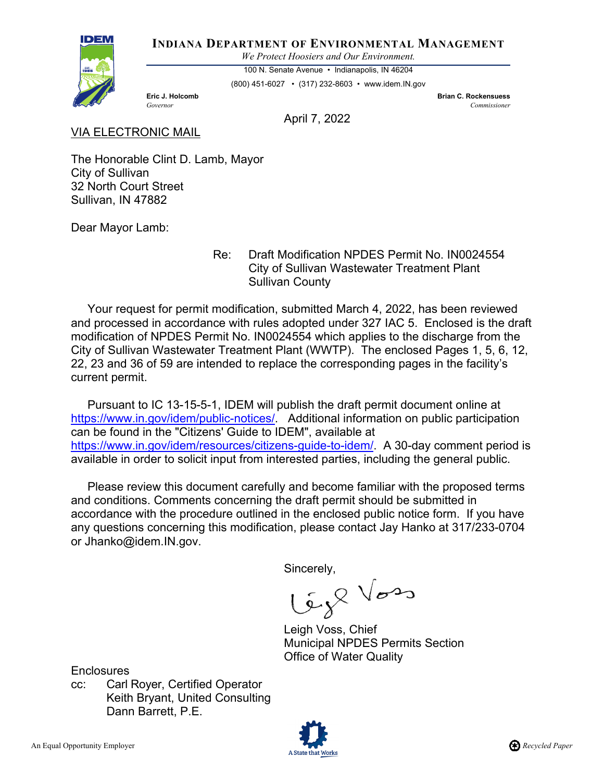

**INDIANA DEPARTMENT OF ENVIRONMENTAL MANAGEMENT**

*We Protect Hoosiers and Our Environment.*

100 N. Senate Avenue • Indianapolis, IN 46204

(800) 451-6027 • (317) 232-8603 • www.idem.IN.gov

**Eric J. Holcomb Brian C. Rockensuess**

*Governor Commissioner* 

April 7, 2022

#### VIA ELECTRONIC MAIL

The Honorable Clint D. Lamb, Mayor City of Sullivan 32 North Court Street Sullivan, IN 47882

Dear Mayor Lamb:

 Re: Draft Modification NPDES Permit No. IN0024554 City of Sullivan Wastewater Treatment Plant Sullivan County

 Your request for permit modification, submitted March 4, 2022, has been reviewed and processed in accordance with rules adopted under 327 IAC 5. Enclosed is the draft modification of NPDES Permit No. IN0024554 which applies to the discharge from the City of Sullivan Wastewater Treatment Plant (WWTP). The enclosed Pages 1, 5, 6, 12, 22, 23 and 36 of 59 are intended to replace the corresponding pages in the facility's current permit.

 Pursuant to IC 13-15-5-1, IDEM will publish the draft permit document online at [https://www.in.gov/idem/public-notices/.](https://www.in.gov/idem/public-notices/) Additional information on public participation can be found in the "Citizens' Guide to IDEM", available at [https://www.in.gov/idem/resources/citizens-guide-to-idem/.](https://www.in.gov/idem/resources/citizens-guide-to-idem/) A 30-day comment period is available in order to solicit input from interested parties, including the general public.

 Please review this document carefully and become familiar with the proposed terms and conditions. Comments concerning the draft permit should be submitted in accordance with the procedure outlined in the enclosed public notice form. If you have any questions concerning this modification, please contact Jay Hanko at 317/233-0704 or Jhanko@idem.IN.gov.

Sincerely,

Lég<sup>Q Vos</sup>

Leigh Voss, Chief Municipal NPDES Permits Section Office of Water Quality

**Enclosures** 

cc: Carl Royer, Certified Operator Keith Bryant, United Consulting Dann Barrett, P.E.

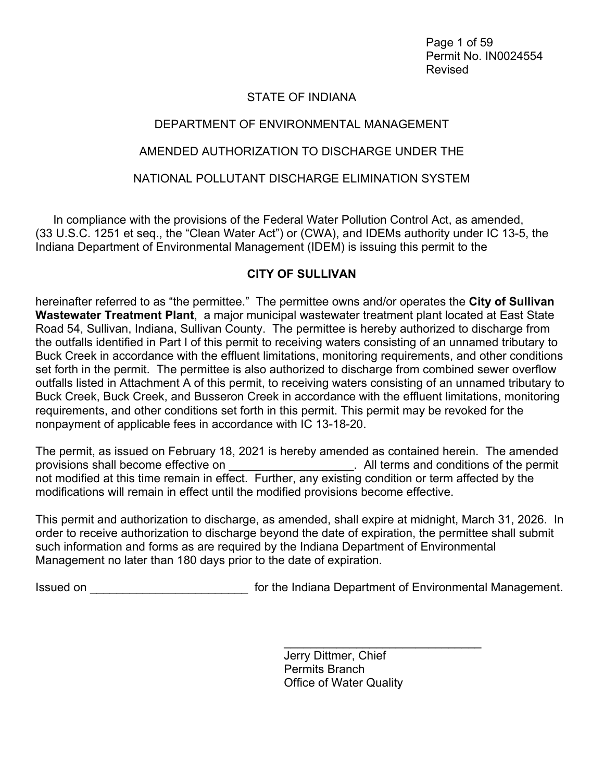Page 1 of 59 Permit No. IN0024554 Revised

#### STATE OF INDIANA

## DEPARTMENT OF ENVIRONMENTAL MANAGEMENT

# AMENDED AUTHORIZATION TO DISCHARGE UNDER THE

## NATIONAL POLLUTANT DISCHARGE ELIMINATION SYSTEM

In compliance with the provisions of the Federal Water Pollution Control Act, as amended, (33 U.S.C. 1251 et seq., the "Clean Water Act") or (CWA), and IDEMs authority under IC 13-5, the Indiana Department of Environmental Management (IDEM) is issuing this permit to the

# **CITY OF SULLIVAN**

hereinafter referred to as "the permittee." The permittee owns and/or operates the **City of Sullivan Wastewater Treatment Plant**, a major municipal wastewater treatment plant located at East State Road 54, Sullivan, Indiana, Sullivan County. The permittee is hereby authorized to discharge from the outfalls identified in Part I of this permit to receiving waters consisting of an unnamed tributary to Buck Creek in accordance with the effluent limitations, monitoring requirements, and other conditions set forth in the permit. The permittee is also authorized to discharge from combined sewer overflow outfalls listed in Attachment A of this permit, to receiving waters consisting of an unnamed tributary to Buck Creek, Buck Creek, and Busseron Creek in accordance with the effluent limitations, monitoring requirements, and other conditions set forth in this permit. This permit may be revoked for the nonpayment of applicable fees in accordance with IC 13-18-20.

The permit, as issued on February 18, 2021 is hereby amended as contained herein. The amended provisions shall become effective on  $\blacksquare$  . All terms and conditions of the permit not modified at this time remain in effect. Further, any existing condition or term affected by the modifications will remain in effect until the modified provisions become effective.

This permit and authorization to discharge, as amended, shall expire at midnight, March 31, 2026. In order to receive authorization to discharge beyond the date of expiration, the permittee shall submit such information and forms as are required by the Indiana Department of Environmental Management no later than 180 days prior to the date of expiration.

Issued on \_\_\_\_\_\_\_\_\_\_\_\_\_\_\_\_\_\_\_\_\_\_\_\_ for the Indiana Department of Environmental Management.

Jerry Dittmer, Chief Permits Branch Office of Water Quality

\_\_\_\_\_\_\_\_\_\_\_\_\_\_\_\_\_\_\_\_\_\_\_\_\_\_\_\_\_\_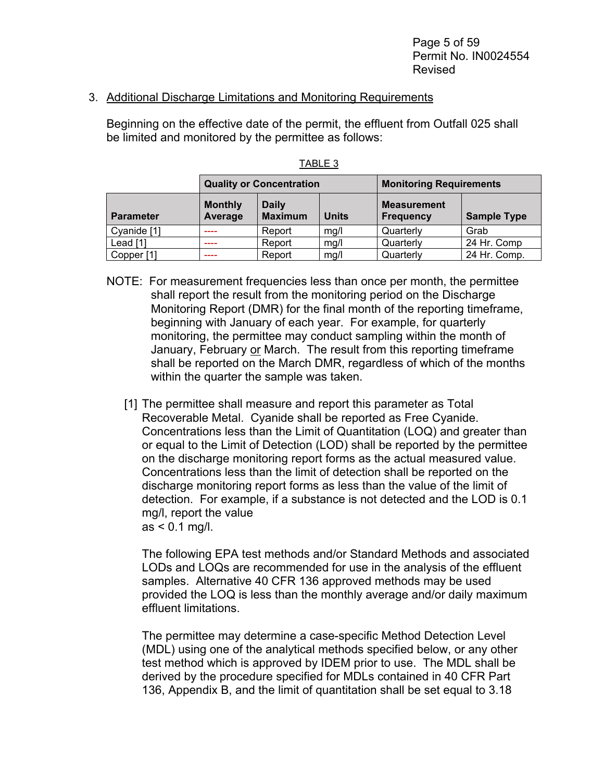#### 3. Additional Discharge Limitations and Monitoring Requirements

Beginning on the effective date of the permit, the effluent from Outfall 025 shall be limited and monitored by the permittee as follows:

|                       | <b>Quality or Concentration</b> |                                |              | <b>Monitoring Requirements</b>         |                    |
|-----------------------|---------------------------------|--------------------------------|--------------|----------------------------------------|--------------------|
| <b>Parameter</b>      | <b>Monthly</b><br>Average       | <b>Daily</b><br><b>Maximum</b> | <b>Units</b> | <b>Measurement</b><br><b>Frequency</b> | <b>Sample Type</b> |
| Cyanide [1]           | ----                            | Report                         | mg/l         | Quarterly                              | Grab               |
| Lead [1]              | ----                            | Report                         | mg/l         | Quarterly                              | 24 Hr. Comp        |
| Copper <sup>[1]</sup> | ----                            | Report                         | mg/l         | Quarterly                              | 24 Hr. Comp.       |

TABLE 3

- NOTE: For measurement frequencies less than once per month, the permittee shall report the result from the monitoring period on the Discharge Monitoring Report (DMR) for the final month of the reporting timeframe, beginning with January of each year. For example, for quarterly monitoring, the permittee may conduct sampling within the month of January, February or March. The result from this reporting timeframe shall be reported on the March DMR, regardless of which of the months within the quarter the sample was taken.
	- [1] The permittee shall measure and report this parameter as Total Recoverable Metal. Cyanide shall be reported as Free Cyanide. Concentrations less than the Limit of Quantitation (LOQ) and greater than or equal to the Limit of Detection (LOD) shall be reported by the permittee on the discharge monitoring report forms as the actual measured value. Concentrations less than the limit of detection shall be reported on the discharge monitoring report forms as less than the value of the limit of detection. For example, if a substance is not detected and the LOD is 0.1 mg/l, report the value  $as < 0.1$  mg/l.

The following EPA test methods and/or Standard Methods and associated LODs and LOQs are recommended for use in the analysis of the effluent samples. Alternative 40 CFR 136 approved methods may be used provided the LOQ is less than the monthly average and/or daily maximum effluent limitations.

The permittee may determine a case-specific Method Detection Level (MDL) using one of the analytical methods specified below, or any other test method which is approved by IDEM prior to use. The MDL shall be derived by the procedure specified for MDLs contained in 40 CFR Part 136, Appendix B, and the limit of quantitation shall be set equal to 3.18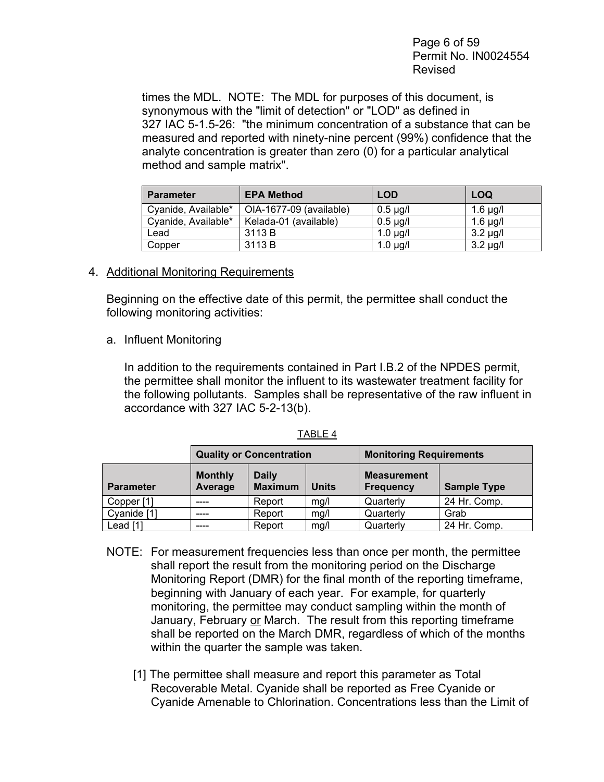times the MDL. NOTE: The MDL for purposes of this document, is synonymous with the "limit of detection" or "LOD" as defined in 327 IAC 5-1.5-26: "the minimum concentration of a substance that can be measured and reported with ninety-nine percent (99%) confidence that the analyte concentration is greater than zero (0) for a particular analytical method and sample matrix".

| <b>Parameter</b>    | <b>EPA Method</b>       | <b>LOD</b>    | <b>LOQ</b>    |
|---------------------|-------------------------|---------------|---------------|
| Cyanide, Available* | OIA-1677-09 (available) | $0.5 \mu g/l$ | $1.6 \mu g/l$ |
| Cyanide, Available* | Kelada-01 (available)   | $0.5 \mu g/l$ | $1.6 \mu g/l$ |
| Lead                | 3113 B                  | $1.0 \mu$ g/l | $3.2 \mu g/l$ |
| Copper              | 3113 B                  | $1.0 \mu g/l$ | $3.2 \mu g/l$ |

4. Additional Monitoring Requirements

Beginning on the effective date of this permit, the permittee shall conduct the following monitoring activities:

a. Influent Monitoring

In addition to the requirements contained in Part I.B.2 of the NPDES permit, the permittee shall monitor the influent to its wastewater treatment facility for the following pollutants. Samples shall be representative of the raw influent in accordance with 327 IAC 5-2-13(b).

|                  | <b>Quality or Concentration</b> |                                |              | <b>Monitoring Requirements</b>         |                    |
|------------------|---------------------------------|--------------------------------|--------------|----------------------------------------|--------------------|
| <b>Parameter</b> | <b>Monthly</b><br>Average       | <b>Daily</b><br><b>Maximum</b> | <b>Units</b> | <b>Measurement</b><br><b>Frequency</b> | <b>Sample Type</b> |
| Copper [1]       | $- - - -$                       | Report                         | mg/l         | Quarterly                              | 24 Hr. Comp.       |
| Cyanide [1]      | $---$                           | Report                         | mg/l         | Quarterly                              | Grab               |
| Lead [1]         | ----                            | Report                         | mq/l         | Quarterly                              | 24 Hr. Comp.       |

- NOTE: For measurement frequencies less than once per month, the permittee shall report the result from the monitoring period on the Discharge Monitoring Report (DMR) for the final month of the reporting timeframe, beginning with January of each year. For example, for quarterly monitoring, the permittee may conduct sampling within the month of January, February or March. The result from this reporting timeframe shall be reported on the March DMR, regardless of which of the months within the quarter the sample was taken.
	- [1] The permittee shall measure and report this parameter as Total Recoverable Metal. Cyanide shall be reported as Free Cyanide or Cyanide Amenable to Chlorination. Concentrations less than the Limit of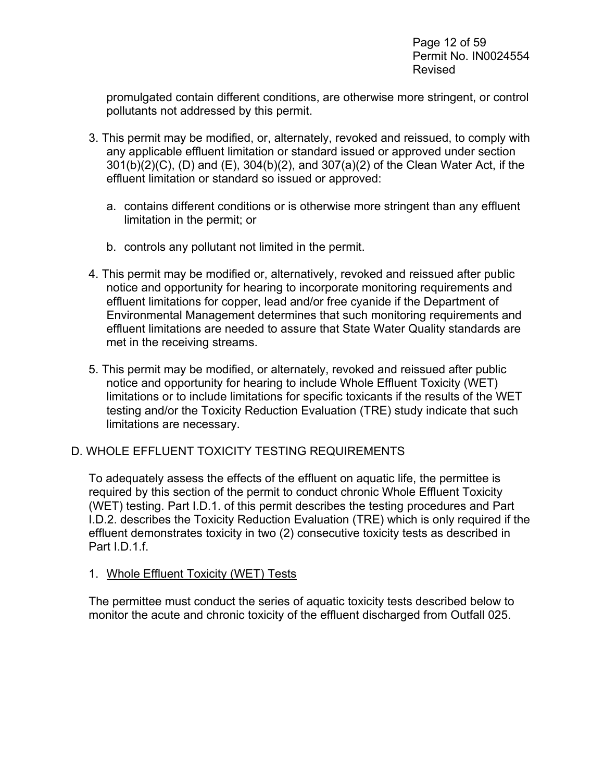promulgated contain different conditions, are otherwise more stringent, or control pollutants not addressed by this permit.

- 3. This permit may be modified, or, alternately, revoked and reissued, to comply with any applicable effluent limitation or standard issued or approved under section 301(b)(2)(C), (D) and (E), 304(b)(2), and 307(a)(2) of the Clean Water Act, if the effluent limitation or standard so issued or approved:
	- a. contains different conditions or is otherwise more stringent than any effluent limitation in the permit; or
	- b. controls any pollutant not limited in the permit.
- 4. This permit may be modified or, alternatively, revoked and reissued after public notice and opportunity for hearing to incorporate monitoring requirements and effluent limitations for copper, lead and/or free cyanide if the Department of Environmental Management determines that such monitoring requirements and effluent limitations are needed to assure that State Water Quality standards are met in the receiving streams.
- 5. This permit may be modified, or alternately, revoked and reissued after public notice and opportunity for hearing to include Whole Effluent Toxicity (WET) limitations or to include limitations for specific toxicants if the results of the WET testing and/or the Toxicity Reduction Evaluation (TRE) study indicate that such limitations are necessary.

#### D. WHOLE EFFLUENT TOXICITY TESTING REQUIREMENTS

To adequately assess the effects of the effluent on aquatic life, the permittee is required by this section of the permit to conduct chronic Whole Effluent Toxicity (WET) testing. Part I.D.1. of this permit describes the testing procedures and Part I.D.2. describes the Toxicity Reduction Evaluation (TRE) which is only required if the effluent demonstrates toxicity in two (2) consecutive toxicity tests as described in Part I.D.1.f.

#### 1. Whole Effluent Toxicity (WET) Tests

The permittee must conduct the series of aquatic toxicity tests described below to monitor the acute and chronic toxicity of the effluent discharged from Outfall 025.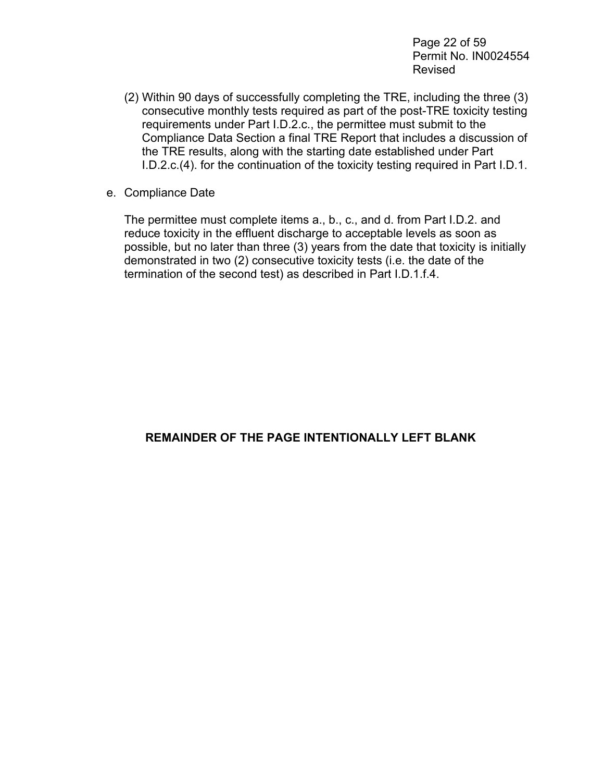Page 22 of 59 Permit No. IN0024554 Revised

- (2) Within 90 days of successfully completing the TRE, including the three (3) consecutive monthly tests required as part of the post-TRE toxicity testing requirements under Part I.D.2.c., the permittee must submit to the Compliance Data Section a final TRE Report that includes a discussion of the TRE results, along with the starting date established under Part I.D.2.c.(4). for the continuation of the toxicity testing required in Part I.D.1.
- e. Compliance Date

The permittee must complete items a., b., c., and d. from Part I.D.2. and reduce toxicity in the effluent discharge to acceptable levels as soon as possible, but no later than three (3) years from the date that toxicity is initially demonstrated in two (2) consecutive toxicity tests (i.e. the date of the termination of the second test) as described in Part I.D.1.f.4.

#### **REMAINDER OF THE PAGE INTENTIONALLY LEFT BLANK**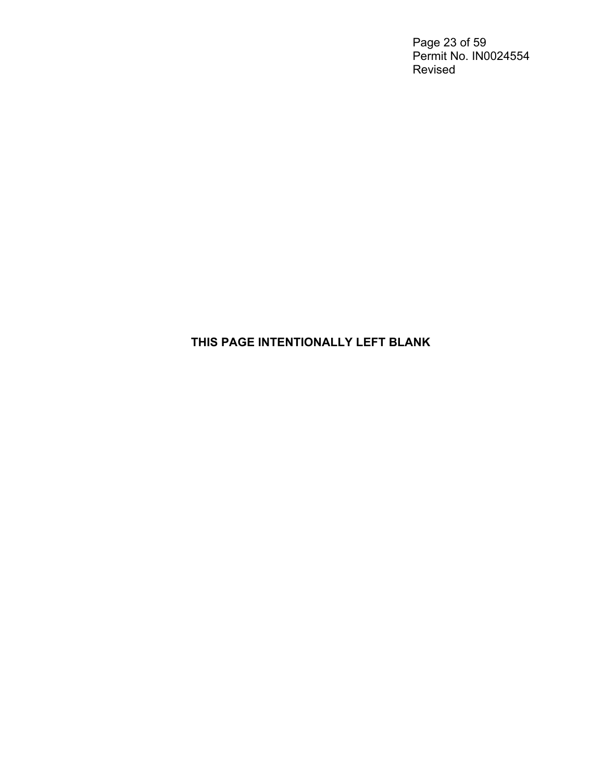Page 23 of 59 Permit No. IN0024554 Revised

# **THIS PAGE INTENTIONALLY LEFT BLANK**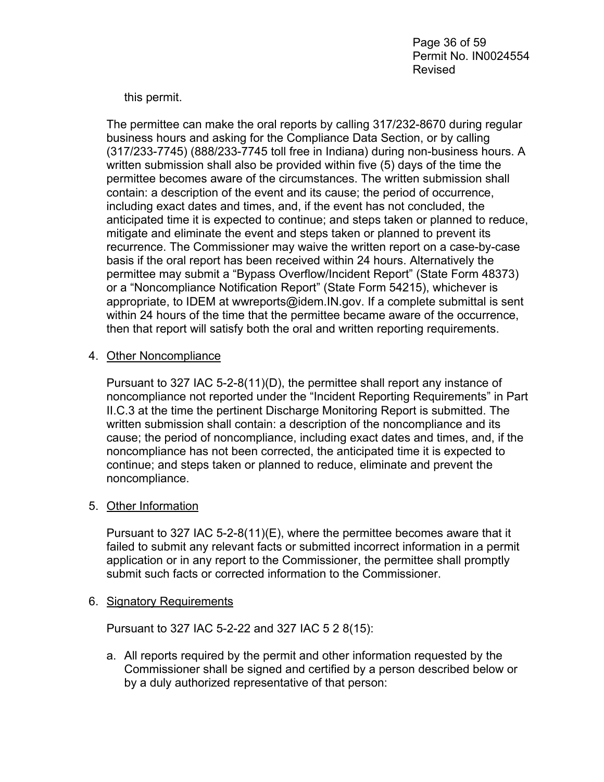this permit.

The permittee can make the oral reports by calling 317/232-8670 during regular business hours and asking for the Compliance Data Section, or by calling (317/233-7745) (888/233-7745 toll free in Indiana) during non-business hours. A written submission shall also be provided within five (5) days of the time the permittee becomes aware of the circumstances. The written submission shall contain: a description of the event and its cause; the period of occurrence, including exact dates and times, and, if the event has not concluded, the anticipated time it is expected to continue; and steps taken or planned to reduce, mitigate and eliminate the event and steps taken or planned to prevent its recurrence. The Commissioner may waive the written report on a case-by-case basis if the oral report has been received within 24 hours. Alternatively the permittee may submit a "Bypass Overflow/Incident Report" (State Form 48373) or a "Noncompliance Notification Report" (State Form 54215), whichever is appropriate, to IDEM at wwreports@idem.IN.gov. If a complete submittal is sent within 24 hours of the time that the permittee became aware of the occurrence, then that report will satisfy both the oral and written reporting requirements.

#### 4. Other Noncompliance

Pursuant to 327 IAC 5-2-8(11)(D), the permittee shall report any instance of noncompliance not reported under the "Incident Reporting Requirements" in Part II.C.3 at the time the pertinent Discharge Monitoring Report is submitted. The written submission shall contain: a description of the noncompliance and its cause; the period of noncompliance, including exact dates and times, and, if the noncompliance has not been corrected, the anticipated time it is expected to continue; and steps taken or planned to reduce, eliminate and prevent the noncompliance.

#### 5. Other Information

Pursuant to 327 IAC 5-2-8(11)(E), where the permittee becomes aware that it failed to submit any relevant facts or submitted incorrect information in a permit application or in any report to the Commissioner, the permittee shall promptly submit such facts or corrected information to the Commissioner.

#### 6. Signatory Requirements

Pursuant to 327 IAC 5-2-22 and 327 IAC 5 2 8(15):

a. All reports required by the permit and other information requested by the Commissioner shall be signed and certified by a person described below or by a duly authorized representative of that person: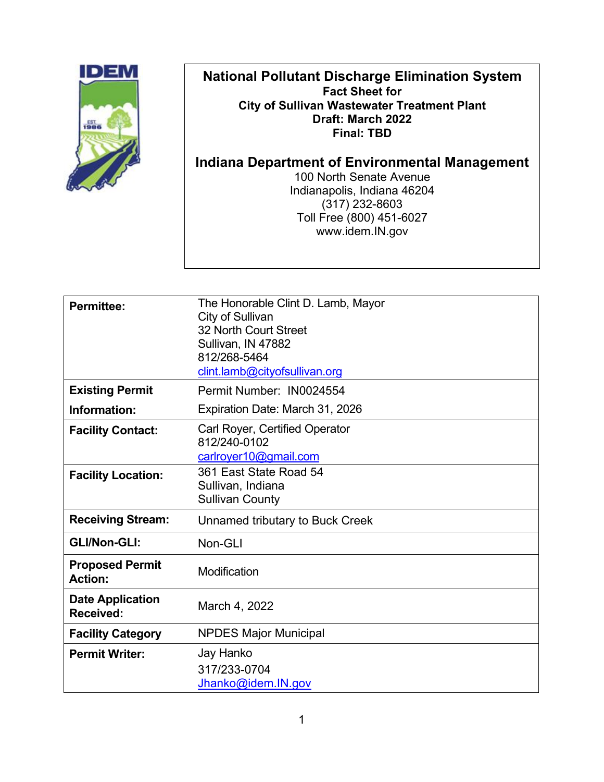| <b>National Pollutant Discharge Elimination System</b><br><b>Fact Sheet for</b><br><b>City of Sullivan Wastewater Treatment Plant</b><br><b>Draft: March 2022</b><br><b>Final: TBD</b> |  |  |  |
|----------------------------------------------------------------------------------------------------------------------------------------------------------------------------------------|--|--|--|
| Indiana Department of Environmental Management<br>100 North Senate Avenue<br>Indianapolis, Indiana 46204<br>$(317)$ 232-8603<br>Toll Free (800) 451-6027<br>www.idem.IN.gov            |  |  |  |

| <b>Permittee:</b>                           | The Honorable Clint D. Lamb, Mayor<br>City of Sullivan<br>32 North Court Street<br>Sullivan, IN 47882<br>812/268-5464<br>clint.lamb@cityofsullivan.org |
|---------------------------------------------|--------------------------------------------------------------------------------------------------------------------------------------------------------|
| <b>Existing Permit</b>                      | Permit Number: IN0024554                                                                                                                               |
| Information:                                | Expiration Date: March 31, 2026                                                                                                                        |
| <b>Facility Contact:</b>                    | Carl Royer, Certified Operator<br>812/240-0102<br>carlroyer10@gmail.com                                                                                |
| <b>Facility Location:</b>                   | 361 East State Road 54<br>Sullivan, Indiana<br><b>Sullivan County</b>                                                                                  |
| <b>Receiving Stream:</b>                    | Unnamed tributary to Buck Creek                                                                                                                        |
| <b>GLI/Non-GLI:</b>                         | Non-GLI                                                                                                                                                |
| <b>Proposed Permit</b><br><b>Action:</b>    | Modification                                                                                                                                           |
| <b>Date Application</b><br><b>Received:</b> | March 4, 2022                                                                                                                                          |
| <b>Facility Category</b>                    | <b>NPDES Major Municipal</b>                                                                                                                           |
| <b>Permit Writer:</b>                       | Jay Hanko<br>317/233-0704<br>Jhanko@idem.IN.gov                                                                                                        |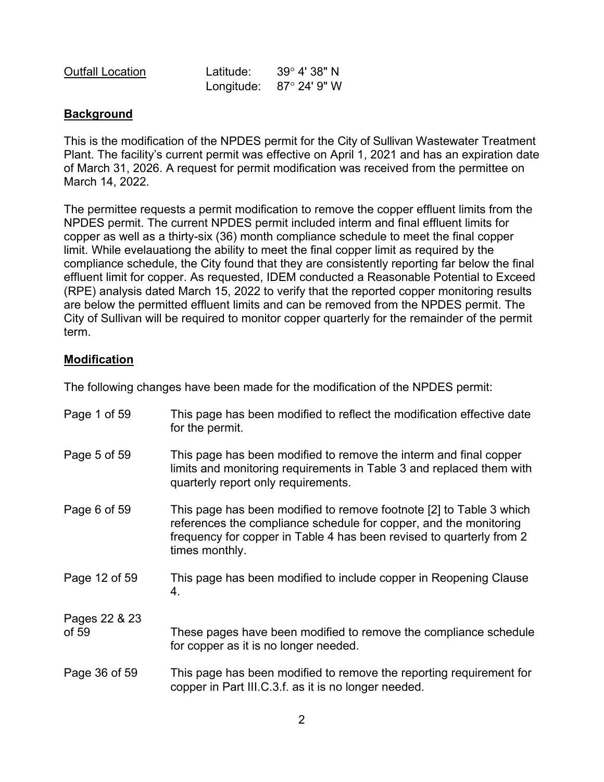| <b>Outfall Location</b> | Latitude: | $39^{\circ}$ 4' 38" N          |
|-------------------------|-----------|--------------------------------|
|                         |           | Longitude: $87^\circ$ 24' 9" W |

## **Background**

This is the modification of the NPDES permit for the City of Sullivan Wastewater Treatment Plant. The facility's current permit was effective on April 1, 2021 and has an expiration date of March 31, 2026. A request for permit modification was received from the permittee on March 14, 2022.

The permittee requests a permit modification to remove the copper effluent limits from the NPDES permit. The current NPDES permit included interm and final effluent limits for copper as well as a thirty-six (36) month compliance schedule to meet the final copper limit. While evelauationg the ability to meet the final copper limit as required by the compliance schedule, the City found that they are consistently reporting far below the final effluent limit for copper. As requested, IDEM conducted a Reasonable Potential to Exceed (RPE) analysis dated March 15, 2022 to verify that the reported copper monitoring results are below the permitted effluent limits and can be removed from the NPDES permit. The City of Sullivan will be required to monitor copper quarterly for the remainder of the permit term.

#### **Modification**

The following changes have been made for the modification of the NPDES permit:

| Page 1 of 59           | This page has been modified to reflect the modification effective date<br>for the permit.                                                                                                                                          |
|------------------------|------------------------------------------------------------------------------------------------------------------------------------------------------------------------------------------------------------------------------------|
| Page 5 of 59           | This page has been modified to remove the interm and final copper<br>limits and monitoring requirements in Table 3 and replaced them with<br>quarterly report only requirements.                                                   |
| Page 6 of 59           | This page has been modified to remove footnote [2] to Table 3 which<br>references the compliance schedule for copper, and the monitoring<br>frequency for copper in Table 4 has been revised to quarterly from 2<br>times monthly. |
| Page 12 of 59          | This page has been modified to include copper in Reopening Clause<br>4.                                                                                                                                                            |
| Pages 22 & 23<br>of 59 | These pages have been modified to remove the compliance schedule<br>for copper as it is no longer needed.                                                                                                                          |
| Page 36 of 59          | This page has been modified to remove the reporting requirement for<br>copper in Part III.C.3.f. as it is no longer needed.                                                                                                        |